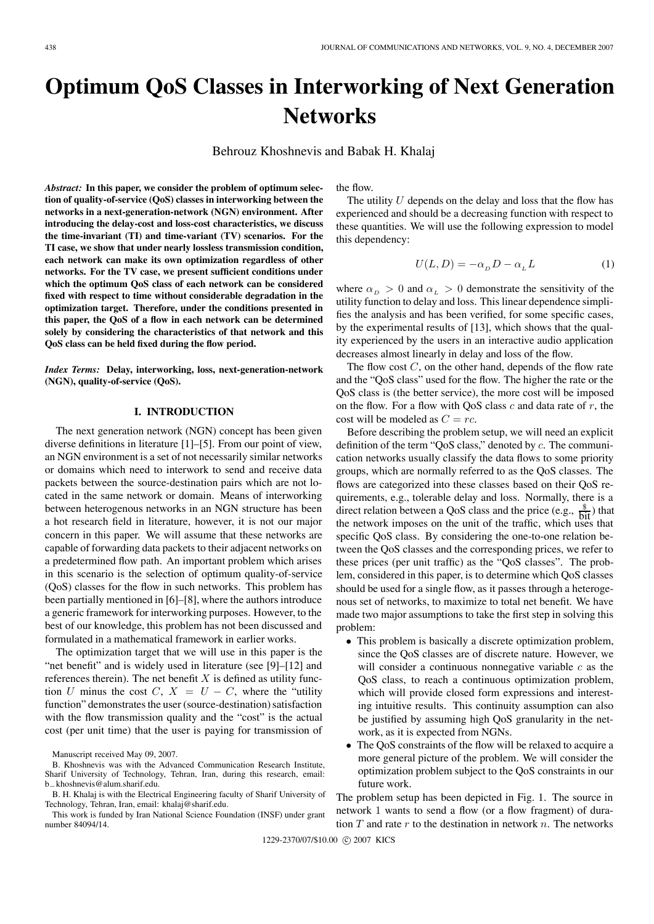# **Optimum QoS Classes in Interworking of Next Generation Networks**

Behrouz Khoshnevis and Babak H. Khalaj

*Abstract:* **In this paper, we consider the problem of optimum selection of quality-of-service (QoS) classes in interworking between the networks in a next-generation-network (NGN) environment. After introducing the delay-cost and loss-cost characteristics, we discuss the time-invariant (TI) and time-variant (TV) scenarios. For the TI case, we show that under nearly lossless transmission condition, each network can make its own optimization regardless of other networks. For the TV case, we present sufficient conditions under which the optimum QoS class of each network can be considered fixed with respect to time without considerable degradation in the optimization target. Therefore, under the conditions presented in this paper, the QoS of a flow in each network can be determined solely by considering the characteristics of that network and this QoS class can be held fixed during the flow period.**

*Index Terms:* **Delay, interworking, loss, next-generation-network (NGN), quality-of-service (QoS).**

# **I. INTRODUCTION**

The next generation network (NGN) concept has been given diverse definitions in literature [1]–[5]. From our point of view, an NGN environment is a set of not necessarily similar networks or domains which need to interwork to send and receive data packets between the source-destination pairs which are not located in the same network or domain. Means of interworking between heterogenous networks in an NGN structure has been a hot research field in literature, however, it is not our major concern in this paper. We will assume that these networks are capable of forwarding data packets to their adjacent networks on a predetermined flow path. An important problem which arises in this scenario is the selection of optimum quality-of-service (QoS) classes for the flow in such networks. This problem has been partially mentioned in [6]–[8], where the authors introduce a generic framework for interworking purposes. However, to the best of our knowledge, this problem has not been discussed and formulated in a mathematical framework in earlier works.

The optimization target that we will use in this paper is the "net benefit" and is widely used in literature (see [9]–[12] and references therein). The net benefit  $X$  is defined as utility function U minus the cost C,  $X = U - C$ , where the "utility" function" demonstrates the user (source-destination) satisfaction with the flow transmission quality and the "cost" is the actual cost (per unit time) that the user is paying for transmission of the flow.

The utility  $U$  depends on the delay and loss that the flow has experienced and should be a decreasing function with respect to these quantities. We will use the following expression to model this dependency:

$$
U(L, D) = -\alpha_D D - \alpha_L L \tag{1}
$$

where  $\alpha_D > 0$  and  $\alpha_L > 0$  demonstrate the sensitivity of the utility function to delay and loss. This linear dependence simplifies the analysis and has been verified, for some specific cases, by the experimental results of [13], which shows that the quality experienced by the users in an interactive audio application decreases almost linearly in delay and loss of the flow.

The flow cost  $C$ , on the other hand, depends of the flow rate and the "QoS class" used for the flow. The higher the rate or the QoS class is (the better service), the more cost will be imposed on the flow. For a flow with  $\cos$  class c and data rate of r, the cost will be modeled as  $C = rc$ .

Before describing the problem setup, we will need an explicit definition of the term "QoS class," denoted by c. The communication networks usually classify the data flows to some priority groups, which are normally referred to as the QoS classes. The flows are categorized into these classes based on their QoS requirements, e.g., tolerable delay and loss. Normally, there is a direct relation between a QoS class and the price (e.g.,  $\frac{\$}{\text{bit}}$ ) that the network imposes on the unit of the traffic, which uses that specific QoS class. By considering the one-to-one relation between the QoS classes and the corresponding prices, we refer to these prices (per unit traffic) as the "QoS classes". The problem, considered in this paper, is to determine which QoS classes should be used for a single flow, as it passes through a heterogenous set of networks, to maximize to total net benefit. We have made two major assumptions to take the first step in solving this problem:

- This problem is basically a discrete optimization problem, since the QoS classes are of discrete nature. However, we will consider a continuous nonnegative variable  $c$  as the QoS class, to reach a continuous optimization problem, which will provide closed form expressions and interesting intuitive results. This continuity assumption can also be justified by assuming high QoS granularity in the network, as it is expected from NGNs.
- The QoS constraints of the flow will be relaxed to acquire a more general picture of the problem. We will consider the optimization problem subject to the QoS constraints in our future work.

The problem setup has been depicted in Fig. 1. The source in network 1 wants to send a flow (or a flow fragment) of duration  $T$  and rate  $r$  to the destination in network  $n$ . The networks

Manuscript received May 09, 2007.

B. Khoshnevis was with the Advanced Communication Research Institute, Sharif University of Technology, Tehran, Iran, during this research, email: b−khoshnevis@alum.sharif.edu.

B. H. Khalaj is with the Electrical Engineering faculty of Sharif University of Technology, Tehran, Iran, email: khalaj@sharif.edu.

This work is funded by Iran National Science Foundation (INSF) under grant number 84094/14.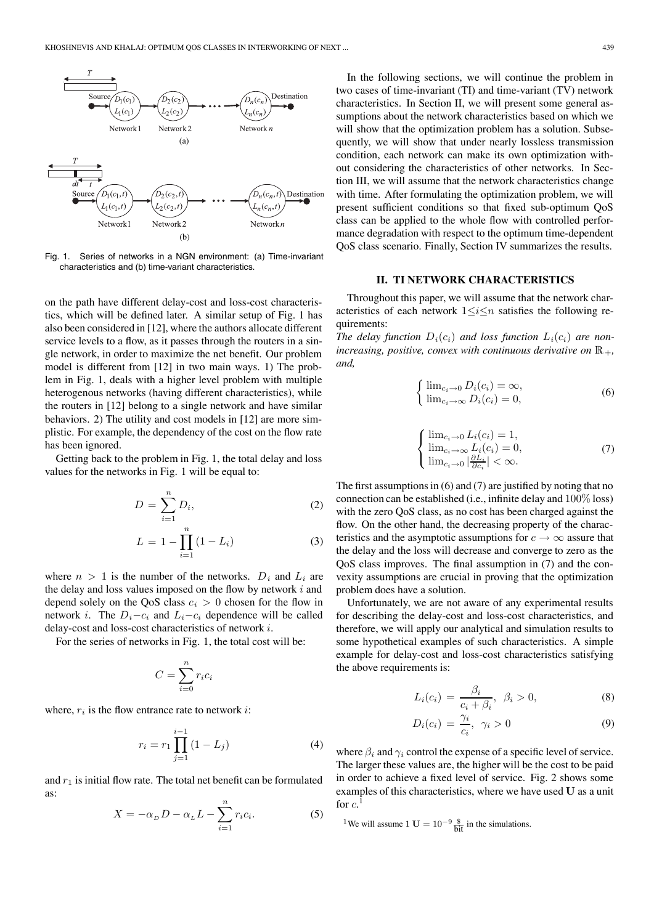

Fig. 1. Series of networks in a NGN environment: (a) Time-invariant characteristics and (b) time-variant characteristics.

on the path have different delay-cost and loss-cost characteristics, which will be defined later. A similar setup of Fig. 1 has also been considered in [12], where the authors allocate different service levels to a flow, as it passes through the routers in a single network, in order to maximize the net benefit. Our problem model is different from [12] in two main ways. 1) The problem in Fig. 1, deals with a higher level problem with multiple heterogenous networks (having different characteristics), while the routers in [12] belong to a single network and have similar behaviors. 2) The utility and cost models in [12] are more simplistic. For example, the dependency of the cost on the flow rate has been ignored.

Getting back to the problem in Fig. 1, the total delay and loss values for the networks in Fig. 1 will be equal to:

$$
D = \sum_{i=1}^{n} D_i,
$$
 (2)

$$
L = 1 - \prod_{i=1}^{n} (1 - L_i)
$$
 (3)

where  $n > 1$  is the number of the networks.  $D_i$  and  $L_i$  are the delay and loss values imposed on the flow by network  $i$  and depend solely on the QoS class  $c_i > 0$  chosen for the flow in network *i*. The  $D_i-c_i$  and  $L_i-c_i$  dependence will be called delay-cost and loss-cost characteristics of network i.

For the series of networks in Fig. 1, the total cost will be:

$$
C = \sum_{i=0}^{n} r_i c_i
$$

where,  $r_i$  is the flow entrance rate to network *i*:

$$
r_i = r_1 \prod_{j=1}^{i-1} (1 - L_j)
$$
 (4)

and  $r_1$  is initial flow rate. The total net benefit can be formulated as:

$$
X = -\alpha_D D - \alpha_L L - \sum_{i=1}^n r_i c_i.
$$
 (5)

In the following sections, we will continue the problem in two cases of time-invariant (TI) and time-variant (TV) network characteristics. In Section II, we will present some general assumptions about the network characteristics based on which we will show that the optimization problem has a solution. Subsequently, we will show that under nearly lossless transmission condition, each network can make its own optimization without considering the characteristics of other networks. In Section III, we will assume that the network characteristics change with time. After formulating the optimization problem, we will present sufficient conditions so that fixed sub-optimum QoS class can be applied to the whole flow with controlled performance degradation with respect to the optimum time-dependent QoS class scenario. Finally, Section IV summarizes the results.

#### **II. TI NETWORK CHARACTERISTICS**

Throughout this paper, we will assume that the network characteristics of each network  $1 \leq i \leq n$  satisfies the following requirements:

*The delay function*  $D_i(c_i)$  *and loss function*  $L_i(c_i)$  *are nonincreasing, positive, convex with continuous derivative on*  $\mathbb{R}_+$ , *and,*

$$
\begin{cases} \n\lim_{c_i \to 0} D_i(c_i) = \infty, \\
\lim_{c_i \to \infty} D_i(c_i) = 0,\n\end{cases}
$$
\n(6)

$$
\begin{cases}\n\lim_{c_i \to 0} L_i(c_i) = 1, \\
\lim_{c_i \to \infty} L_i(c_i) = 0, \\
\lim_{c_i \to 0} |\frac{\partial L_i}{\partial c_i}| < \infty.\n\end{cases}
$$
\n(7)

The first assumptions in (6) and (7) are justified by noting that no connection can be established (i.e., infinite delay and 100% loss) with the zero QoS class, as no cost has been charged against the flow. On the other hand, the decreasing property of the characteristics and the asymptotic assumptions for  $c \to \infty$  assure that the delay and the loss will decrease and converge to zero as the QoS class improves. The final assumption in (7) and the convexity assumptions are crucial in proving that the optimization problem does have a solution.

Unfortunately, we are not aware of any experimental results for describing the delay-cost and loss-cost characteristics, and therefore, we will apply our analytical and simulation results to some hypothetical examples of such characteristics. A simple example for delay-cost and loss-cost characteristics satisfying the above requirements is:

$$
L_i(c_i) = \frac{\beta_i}{c_i + \beta_i}, \ \beta_i > 0,
$$
\n(8)

$$
D_i(c_i) = \frac{\gamma_i}{c_i}, \ \gamma_i > 0 \tag{9}
$$

where  $\beta_i$  and  $\gamma_i$  control the expense of a specific level of service. The larger these values are, the higher will be the cost to be paid in order to achieve a fixed level of service. Fig. 2 shows some examples of this characteristics, where we have used **U** as a unit for  $c$ <sup>1</sup>

<sup>1</sup>We will assume 1 **U** =  $10^{-9} \frac{\$}{bit}$  in the simulations.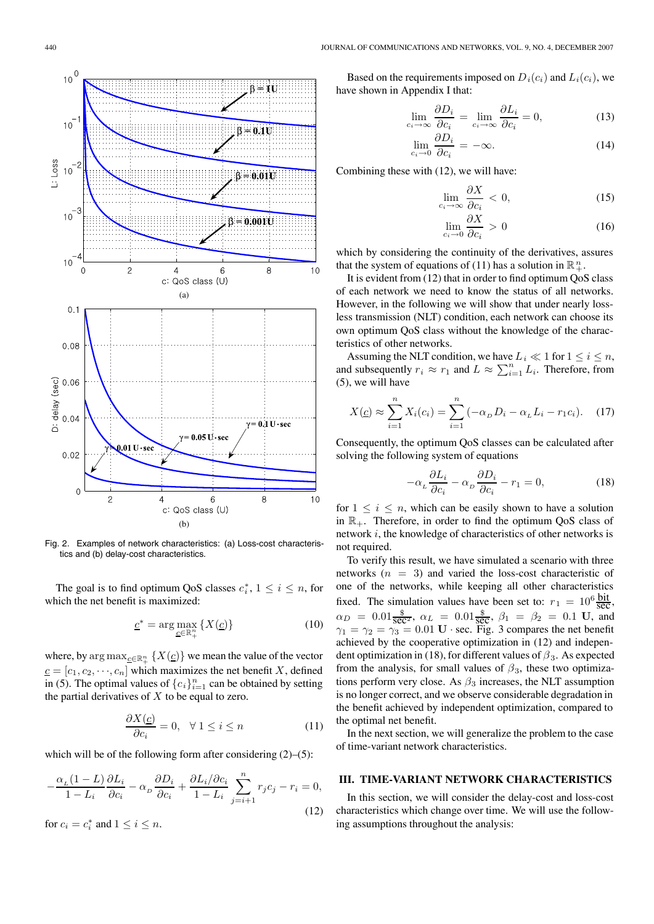

Fig. 2. Examples of network characteristics: (a) Loss-cost characteristics and (b) delay-cost characteristics.

The goal is to find optimum QoS classes  $c_i^*$ ,  $1 \le i \le n$ , for the net benefit is maximized. which the net benefit is maximized:

$$
\underline{c}^* = \arg\max_{\underline{c} \in \mathbb{R}_+^n} \{ X(\underline{c}) \} \tag{10}
$$

where, by arg  $\max_{\underline{c} \in \mathbb{R}^n_+} \{X(\underline{c})\}$  we mean the value of the vector  $c = [c_1, c_2, \dots, c_n]$  which maximizes the net benefit X, defined in (5). The optimal values of  ${c_i}_{i=1}^n$  can be obtained by setting the partial derivatives of  $X$  to be equal to zero.

$$
\frac{\partial X(\underline{c})}{\partial c_i} = 0, \quad \forall \ 1 \le i \le n \tag{11}
$$

which will be of the following form after considering  $(2)$ – $(5)$ :

$$
-\frac{\alpha_L(1-L)}{1-L_i}\frac{\partial L_i}{\partial c_i} - \alpha_D \frac{\partial D_i}{\partial c_i} + \frac{\partial L_i/\partial c_i}{1-L_i} \sum_{j=i+1}^n r_j c_j - r_i = 0,
$$
  
for  $c_i = c_i^*$  and  $1 \le i \le n$ . (12)

Based on the requirements imposed on  $D_i(c_i)$  and  $L_i(c_i)$ , we have shown in Appendix I that:

$$
\lim_{c_i \to \infty} \frac{\partial D_i}{\partial c_i} = \lim_{c_i \to \infty} \frac{\partial L_i}{\partial c_i} = 0,
$$
\n(13)

$$
\lim_{c_i \to 0} \frac{\partial D_i}{\partial c_i} = -\infty.
$$
\n(14)

Combining these with (12), we will have:

$$
\lim_{c_i \to \infty} \frac{\partial X}{\partial c_i} < 0,\tag{15}
$$

$$
\lim_{c_i \to 0} \frac{\partial X}{\partial c_i} > 0 \tag{16}
$$

which by considering the continuity of the derivatives, assures that the system of equations of (11) has a solution in  $\mathbb{R}^n_+$ .

It is evident from (12) that in order to find optimum QoS class of each network we need to know the status of all networks. However, in the following we will show that under nearly lossless transmission (NLT) condition, each network can choose its own optimum QoS class without the knowledge of the characteristics of other networks.

Assuming the NLT condition, we have  $L_i \ll 1$  for  $1 \le i \le n$ , and subsequently  $r_i \approx r_1$  and  $L \approx \sum_{i=1}^n L_i$ . Therefore, from (5), we will have

$$
X(\underline{c}) \approx \sum_{i=1}^{n} X_i(c_i) = \sum_{i=1}^{n} (-\alpha_D D_i - \alpha_L L_i - r_1 c_i).
$$
 (17)

Consequently, the optimum QoS classes can be calculated after solving the following system of equations

$$
-\alpha_L \frac{\partial L_i}{\partial c_i} - \alpha_D \frac{\partial D_i}{\partial c_i} - r_1 = 0, \tag{18}
$$

for  $1 \leq i \leq n$ , which can be easily shown to have a solution in  $\mathbb{R}_+$ . Therefore, in order to find the optimum QoS class of network i, the knowledge of characteristics of other networks is not required.

To verify this result, we have simulated a scenario with three networks  $(n = 3)$  and varied the loss-cost characteristic of one of the networks, while keeping all other characteristics fixed. The simulation values have been set to:  $r_1 = 10^6 \frac{\text{bit}}{\text{sec}}$  $\alpha_D = 0.01 \frac{\text{g}}{\text{sec}^2}$ ,  $\alpha_L = 0.01 \frac{\text{g}}{\text{sec}}$ ,  $\beta_1 = \beta_2 = 0.1$  **U**, and  $\alpha_1 = \alpha_2 = \alpha_1 = 0.01$  **U**, sec. Fig. 3 compares the net benefit  $\gamma_1 = \gamma_2 = \gamma_3 = 0.01 \text{ U} \cdot \text{sec}$ . Fig. 3 compares the net benefit achieved by the cooperative optimization in (12) and independent achieved by the cooperative optimization in (12) and independent optimization in (18), for different values of  $\beta_3$ . As expected from the analysis, for small values of  $\beta_3$ , these two optimizations perform very close. As  $\beta_3$  increases, the NLT assumption is no longer correct, and we observe considerable degradation in the benefit achieved by independent optimization, compared to the optimal net benefit.

In the next section, we will generalize the problem to the case of time-variant network characteristics.

## **III. TIME-VARIANT NETWORK CHARACTERISTICS**

In this section, we will consider the delay-cost and loss-cost characteristics which change over time. We will use the following assumptions throughout the analysis: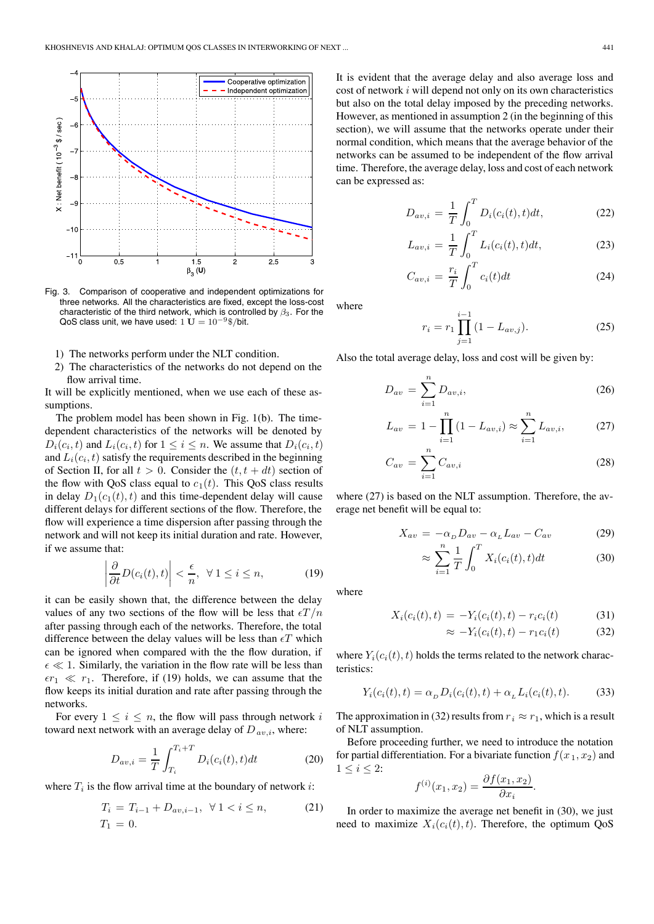

Fig. 3. Comparison of cooperative and independent optimizations for three networks. All the characteristics are fixed, except the loss-cost characteristic of the third network, which is controlled by  $\beta_3$ . For the QoS class unit, we have used:  $1 \text{ U} = 10^{-9}$ \$/bit.

- 1) The networks perform under the NLT condition.
- 2) The characteristics of the networks do not depend on the flow arrival time.

It will be explicitly mentioned, when we use each of these assumptions.

The problem model has been shown in Fig. 1(b). The timedependent characteristics of the networks will be denoted by  $D_i(c_i, t)$  and  $L_i(c_i, t)$  for  $1 \leq i \leq n$ . We assume that  $D_i(c_i, t)$ and  $L_i(c_i, t)$  satisfy the requirements described in the beginning of Section II, for all  $t > 0$ . Consider the  $(t, t + dt)$  section of the flow with QoS class equal to  $c_1(t)$ . This QoS class results in delay  $D_1(c_1(t), t)$  and this time-dependent delay will cause different delays for different sections of the flow. Therefore, the flow will experience a time dispersion after passing through the network and will not keep its initial duration and rate. However, if we assume that:

$$
\left| \frac{\partial}{\partial t} D(c_i(t), t) \right| < \frac{\epsilon}{n}, \ \forall \ 1 \le i \le n,\tag{19}
$$

it can be easily shown that, the difference between the delay values of any two sections of the flow will be less that  $\epsilon T / n$ after passing through each of the networks. Therefore, the total difference between the delay values will be less than  $\epsilon T$  which can be ignored when compared with the the flow duration, if  $\epsilon \ll 1$ . Similarly, the variation in the flow rate will be less than  $\epsilon r_1 \ll r_1$ . Therefore, if (19) holds, we can assume that the flow keeps its initial duration and rate after passing through the networks.

For every  $1 \leq i \leq n$ , the flow will pass through network i toward next network with an average delay of  $D_{av,i}$ , where:

$$
D_{av,i} = \frac{1}{T} \int_{T_i}^{T_i + T} D_i(c_i(t), t) dt
$$
 (20)

where  $T_i$  is the flow arrival time at the boundary of network *i*:

$$
T_i = T_{i-1} + D_{av,i-1}, \ \forall 1 < i \le n,
$$
  
\n
$$
T_1 = 0.
$$
\n(21)

It is evident that the average delay and also average loss and cost of network  $i$  will depend not only on its own characteristics but also on the total delay imposed by the preceding networks. However, as mentioned in assumption 2 (in the beginning of this section), we will assume that the networks operate under their normal condition, which means that the average behavior of the networks can be assumed to be independent of the flow arrival time. Therefore, the average delay, loss and cost of each network can be expressed as:

$$
D_{av,i} = \frac{1}{T} \int_0^T D_i(c_i(t), t) dt,
$$
 (22)

$$
L_{av,i} = \frac{1}{T} \int_0^T L_i(c_i(t), t) dt,
$$
 (23)

$$
C_{av,i} = \frac{r_i}{T} \int_0^T c_i(t) dt
$$
 (24)

where

$$
r_i = r_1 \prod_{j=1}^{i-1} (1 - L_{av,j}).
$$
 (25)

Also the total average delay, loss and cost will be given by:

$$
D_{av} = \sum_{i=1}^{n} D_{av,i},
$$
 (26)

$$
L_{av} = 1 - \prod_{i=1}^{n} (1 - L_{av,i}) \approx \sum_{i=1}^{n} L_{av,i},
$$
 (27)

$$
C_{av} = \sum_{i=1}^{n} C_{av,i} \tag{28}
$$

where  $(27)$  is based on the NLT assumption. Therefore, the average net benefit will be equal to:

$$
X_{av} = -\alpha_D D_{av} - \alpha_L L_{av} - C_{av} \tag{29}
$$

$$
\approx \sum_{i=1}^{n} \frac{1}{T} \int_{0}^{T} X_i(c_i(t), t) dt \tag{30}
$$

where

$$
X_i(c_i(t), t) = -Y_i(c_i(t), t) - r_i c_i(t)
$$
\n(31)

$$
\approx -Y_i(c_i(t),t) - r_1c_i(t) \tag{32}
$$

where  $Y_i(c_i(t), t)$  holds the terms related to the network characteristics:

$$
Y_i(c_i(t),t) = \alpha_D D_i(c_i(t),t) + \alpha_L L_i(c_i(t),t). \tag{33}
$$

The approximation in (32) results from  $r_i \approx r_1$ , which is a result of NLT assumption.

Before proceeding further, we need to introduce the notation for partial differentiation. For a bivariate function  $f(x_1, x_2)$  and  $1 \leq i \leq 2$ :

$$
f^{(i)}(x_1, x_2) = \frac{\partial f(x_1, x_2)}{\partial x_i}.
$$

In order to maximize the average net benefit in (30), we just need to maximize  $X_i(c_i(t), t)$ . Therefore, the optimum QoS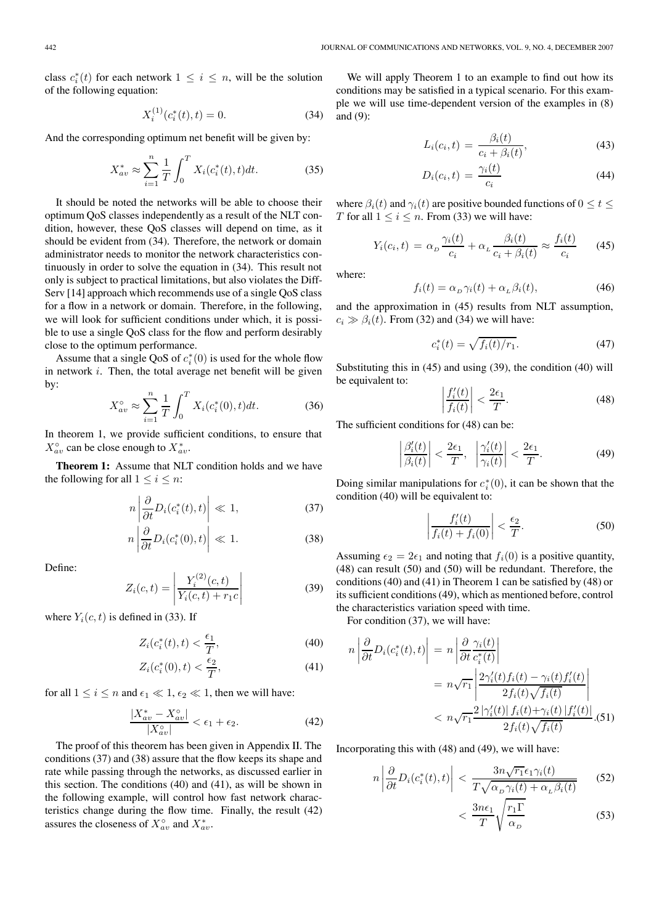class  $c_i^*(t)$  for each network  $1 \le i \le n$ , will be the solution of the following equation: of the following equation:

$$
X_i^{(1)}(c_i^*(t), t) = 0.
$$
 (34)

And the corresponding optimum net benefit will be given by:

$$
X_{av}^* \approx \sum_{i=1}^n \frac{1}{T} \int_0^T X_i(c_i^*(t), t) dt.
$$
 (35)

It should be noted the networks will be able to choose their optimum QoS classes independently as a result of the NLT condition, however, these QoS classes will depend on time, as it should be evident from (34). Therefore, the network or domain administrator needs to monitor the network characteristics continuously in order to solve the equation in (34). This result not only is subject to practical limitations, but also violates the Diff-Serv [14] approach which recommends use of a single QoS class for a flow in a network or domain. Therefore, in the following, we will look for sufficient conditions under which, it is possible to use a single QoS class for the flow and perform desirably close to the optimum performance.

Assume that a single QoS of  $c_i^*(0)$  is used for the whole flow<br>network *i* Then, the total average net benefit will be given in network *i*. Then, the total average net benefit will be given by:

$$
X_{av}^{\circ} \approx \sum_{i=1}^{n} \frac{1}{T} \int_{0}^{T} X_{i}(c_{i}^{*}(0), t) dt.
$$
 (36)

In theorem 1, we provide sufficient conditions, to ensure that  $X^{\circ}_{av}$  can be close enough to  $X^*_{av}$ .

**Theorem 1:** Assume that NLT condition holds and we have the following for all  $1 \leq i \leq n$ :

$$
n \left| \frac{\partial}{\partial t} D_i(c_i^*(t), t) \right| \ll 1,
$$
\n(37)

$$
n\left|\frac{\partial}{\partial t}D_i(c_i^*(0),t)\right| \ll 1.
$$
 (38)

Define:

$$
Z_i(c,t) = \left| \frac{Y_i^{(2)}(c,t)}{Y_i(c,t) + r_1 c} \right| \tag{39}
$$

where  $Y_i(c, t)$  is defined in (33). If

$$
Z_i(c_i^*(t),t) < \frac{\epsilon_1}{T},\tag{40}
$$

$$
Z_i(c_i^*(0), t) < \frac{\epsilon_2}{T},\tag{41}
$$

for all  $1 \le i \le n$  and  $\epsilon_1 \ll 1$ ,  $\epsilon_2 \ll 1$ , then we will have:

$$
\frac{|X_{av}^* - X_{av}^\circ|}{|X_{av}^\circ|} < \epsilon_1 + \epsilon_2. \tag{42}
$$

The proof of this theorem has been given in Appendix II. The conditions (37) and (38) assure that the flow keeps its shape and rate while passing through the networks, as discussed earlier in this section. The conditions (40) and (41), as will be shown in the following example, will control how fast network characteristics change during the flow time. Finally, the result (42) assures the closeness of  $X_{av}^{\circ}$  and  $X_{av}^{*}$ .

We will apply Theorem 1 to an example to find out how its conditions may be satisfied in a typical scenario. For this example we will use time-dependent version of the examples in (8) and (9):

$$
L_i(c_i, t) = \frac{\beta_i(t)}{c_i + \beta_i(t)},
$$
\n(43)

$$
D_i(c_i, t) = \frac{\gamma_i(t)}{c_i} \tag{44}
$$

where  $\beta_i(t)$  and  $\gamma_i(t)$  are positive bounded functions of  $0 \le t \le$ T for all  $1 \leq i \leq n$ . From (33) we will have:

$$
Y_i(c_i, t) = \alpha_D \frac{\gamma_i(t)}{c_i} + \alpha_L \frac{\beta_i(t)}{c_i + \beta_i(t)} \approx \frac{f_i(t)}{c_i} \qquad (45)
$$

where:

$$
f_i(t) = \alpha_D \gamma_i(t) + \alpha_L \beta_i(t), \qquad (46)
$$

and the approximation in (45) results from NLT assumption,  $c_i \gg \beta_i(t)$ . From (32) and (34) we will have:

$$
c_i^*(t) = \sqrt{f_i(t)/r_1}.
$$
 (47)

Substituting this in (45) and using (39), the condition (40) will be equivalent to:

$$
\left|\frac{f_i'(t)}{f_i(t)}\right| < \frac{2\epsilon_1}{T}.\tag{48}
$$

 $\left| \overline{f_i(t)} \right| \leq \overline{T}$ .<br>The sufficient conditions for (48) can be:

$$
\left|\frac{\beta_i'(t)}{\beta_i(t)}\right| < \frac{2\epsilon_1}{T}, \quad \left|\frac{\gamma_i'(t)}{\gamma_i(t)}\right| < \frac{2\epsilon_1}{T}.\tag{49}
$$

Doing similar manipulations for  $c_i^*(0)$ , it can be shown that the condition (40) will be equivalent to: condition (40) will be equivalent to:

$$
\left| \frac{f_i'(t)}{f_i(t) + f_i(0)} \right| < \frac{\epsilon_2}{T}.\tag{50}
$$

Assuming  $\epsilon_2 = 2\epsilon_1$  and noting that  $f_i(0)$  is a positive quantity, (48) can result (50) and (50) will be redundant. Therefore, the conditions (40) and (41) in Theorem 1 can be satisfied by (48) or its sufficient conditions (49), which as mentioned before, control the characteristics variation speed with time.

For condition (37), we will have:

$$
n\left|\frac{\partial}{\partial t}D_i(c_i^*(t),t)\right| = n\left|\frac{\partial}{\partial t}\frac{\gamma_i(t)}{c_i^*(t)}\right|
$$
  
=  $n\sqrt{r_1}\left|\frac{2\gamma_i'(t)f_i(t) - \gamma_i(t)f_i'(t)}{2f_i(t)\sqrt{f_i(t)}}\right|$   
 $< n\sqrt{r_1}\frac{2|\gamma_i'(t)|f_i(t) + \gamma_i(t)|f_i'(t)|}{2f_i(t)\sqrt{f_i(t)}}.(51)$ 

Incorporating this with (48) and (49), we will have:

$$
n\left|\frac{\partial}{\partial t}D_i(c_i^*(t),t)\right| < \frac{3n\sqrt{r_1}\epsilon_1\gamma_i(t)}{T\sqrt{\alpha_D\gamma_i(t) + \alpha_L\beta_i(t)}} \tag{52}
$$
\n
$$
\langle \frac{3n\epsilon_1}{T}\sqrt{\frac{r_1\Gamma}{\alpha_D}} \tag{53}
$$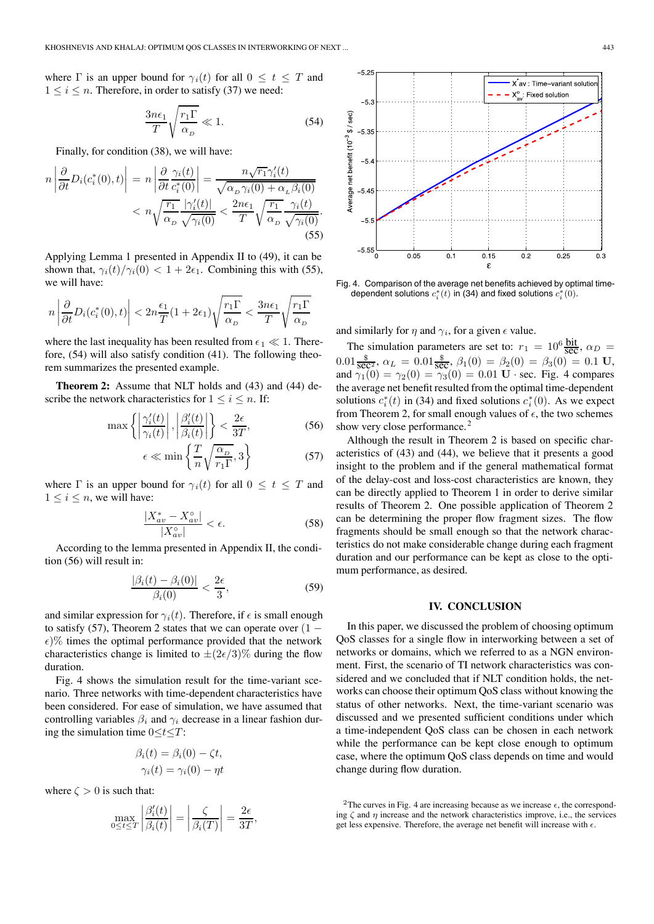where  $\Gamma$  is an upper bound for  $\gamma_i(t)$  for all  $0 \le t \le T$  and  $1 \leq i \leq n$ . Therefore, in order to satisfy (37) we need:

$$
\frac{3n\epsilon_1}{T}\sqrt{\frac{r_1\Gamma}{\alpha_D}} \ll 1.
$$
\n(54)

Finally, for condition (38), we will have:

$$
n\left|\frac{\partial}{\partial t}D_i(c_i^*(0),t)\right| = n\left|\frac{\partial}{\partial t}\frac{\gamma_i(t)}{c_i^*(0)}\right| = \frac{n\sqrt{r_1}\gamma_i'(t)}{\sqrt{\alpha_D\gamma_i(0) + \alpha_L\beta_i(0)}}
$$

$$
< n\sqrt{\frac{r_1}{\alpha_D}\frac{|\gamma_i'(t)|}{\sqrt{\gamma_i(0)}}} < \frac{2n\epsilon_1}{T}\sqrt{\frac{r_1}{\alpha_D}\frac{\gamma_i(t)}{\sqrt{\gamma_i(0)}}}. \tag{55}
$$

Applying Lemma 1 presented in Appendix II to (49), it can be shown that,  $\gamma_i(t)/\gamma_i(0) < 1+2\epsilon_1$ . Combining this with (55), we will have:

$$
n\left|\frac{\partial}{\partial t}D_i(c_i^*(0),t)\right| < 2n\frac{\epsilon_1}{T}(1+2\epsilon_1)\sqrt{\frac{r_1\Gamma}{\alpha_D}} < \frac{3n\epsilon_1}{T}\sqrt{\frac{r_1\Gamma}{\alpha_D}}
$$

where the last inequality has been resulted from  $\epsilon_1 \ll 1$ . Therefore, (54) will also satisfy condition (41). The following theorem summarizes the presented example.

**Theorem 2:** Assume that NLT holds and (43) and (44) describe the network characteristics for  $1 \leq i \leq n$ . If:

$$
\max\left\{ \left| \frac{\gamma_i'(t)}{\gamma_i(t)} \right|, \left| \frac{\beta_i'(t)}{\beta_i(t)} \right| \right\} < \frac{2\epsilon}{3T},\tag{56}
$$

$$
\epsilon \ll \min\left\{\frac{T}{n}\sqrt{\frac{\alpha_D}{r_1\Gamma}}, 3\right\} \tag{57}
$$

where  $\Gamma$  is an upper bound for  $\gamma_i(t)$  for all  $0 \le t \le T$  and  $1 \leq i \leq n$ , we will have:

$$
\frac{|X_{av}^* - X_{av}^\circ|}{|X_{av}^\circ|} < \epsilon. \tag{58}
$$

According to the lemma presented in Appendix II, the condition (56) will result in:

$$
\frac{|\beta_i(t) - \beta_i(0)|}{\beta_i(0)} < \frac{2\epsilon}{3},\tag{59}
$$

and similar expression for  $\gamma_i(t)$ . Therefore, if  $\epsilon$  is small enough to satisfy (57), Theorem 2 states that we can operate over  $(1 \epsilon$ )% times the optimal performance provided that the network characteristics change is limited to  $\pm (2\epsilon/3)\%$  during the flow duration.

Fig. 4 shows the simulation result for the time-variant scenario. Three networks with time-dependent characteristics have been considered. For ease of simulation, we have assumed that controlling variables  $\beta_i$  and  $\gamma_i$  decrease in a linear fashion during the simulation time  $0 \le t \le T$ :

$$
\beta_i(t) = \beta_i(0) - \zeta t, \n\gamma_i(t) = \gamma_i(0) - \eta t
$$

where  $\zeta > 0$  is such that:

$$
\max_{0 \le t \le T} \left| \frac{\beta_i'(t)}{\beta_i(t)} \right| = \left| \frac{\zeta}{\beta_i(T)} \right| = \frac{2\epsilon}{3T},
$$



Fig. 4. Comparison of the average net benefits achieved by optimal timedependent solutions  $c_i^*(t)$  in (34) and fixed solutions  $c_i^*(0)$ .

and similarly for  $\eta$  and  $\gamma_i$ , for a given  $\epsilon$  value.

The simulation parameters are set to:  $r_1 = 10^6 \frac{\text{bit}}{\text{sec}}$ ,  $\alpha_D =$ <br>  $\alpha = 0.01 \frac{\$}{\text{sec}}$ ,  $\alpha = 0.01 \frac{\$}{\text{sec}}$ ,  $\alpha_D = 0.01 \frac{\$}{\text{sec}}$  $0.01 \frac{\text{s}}{\text{sec}^2}$ ,  $\alpha_L = 0.01 \frac{\text{s}}{\text{sec}}$ ,  $\beta_1(0) = \beta_2(0) = \beta_3(0) = 0.1 \text{ U}$ ,<br>and  $\gamma_1(0) = \gamma_2(0) = \gamma_3(0) = 0.01 \text{ U}$ , sec. Fig. 4 compares and  $\gamma_1(0) = \gamma_2(0) = \gamma_3(0) = 0.01 \mathbf{U} \cdot \text{sec}$ . Fig. 4 compares the average net benefit resulted from the optimal time-dependent solutions  $c_i^*(t)$  in (34) and fixed solutions  $c_i^*(0)$ . As we expect<br>from Theorem 2, for small enough values of  $\epsilon$  the two schemes from Theorem 2, for small enough values of  $\epsilon$ , the two schemes show very close performance.<sup>2</sup>

Although the result in Theorem 2 is based on specific characteristics of (43) and (44), we believe that it presents a good insight to the problem and if the general mathematical format of the delay-cost and loss-cost characteristics are known, they can be directly applied to Theorem 1 in order to derive similar results of Theorem 2. One possible application of Theorem 2 can be determining the proper flow fragment sizes. The flow fragments should be small enough so that the network characteristics do not make considerable change during each fragment duration and our performance can be kept as close to the optimum performance, as desired.

#### **IV. CONCLUSION**

In this paper, we discussed the problem of choosing optimum QoS classes for a single flow in interworking between a set of networks or domains, which we referred to as a NGN environment. First, the scenario of TI network characteristics was considered and we concluded that if NLT condition holds, the networks can choose their optimum QoS class without knowing the status of other networks. Next, the time-variant scenario was discussed and we presented sufficient conditions under which a time-independent QoS class can be chosen in each network while the performance can be kept close enough to optimum case, where the optimum QoS class depends on time and would change during flow duration.

<sup>2</sup>The curves in Fig. 4 are increasing because as we increase  $\epsilon$ , the corresponding  $\zeta$  and  $\eta$  increase and the network characteristics improve, i.e., the services get less expensive. Therefore, the average net benefit will increase with  $\epsilon$ .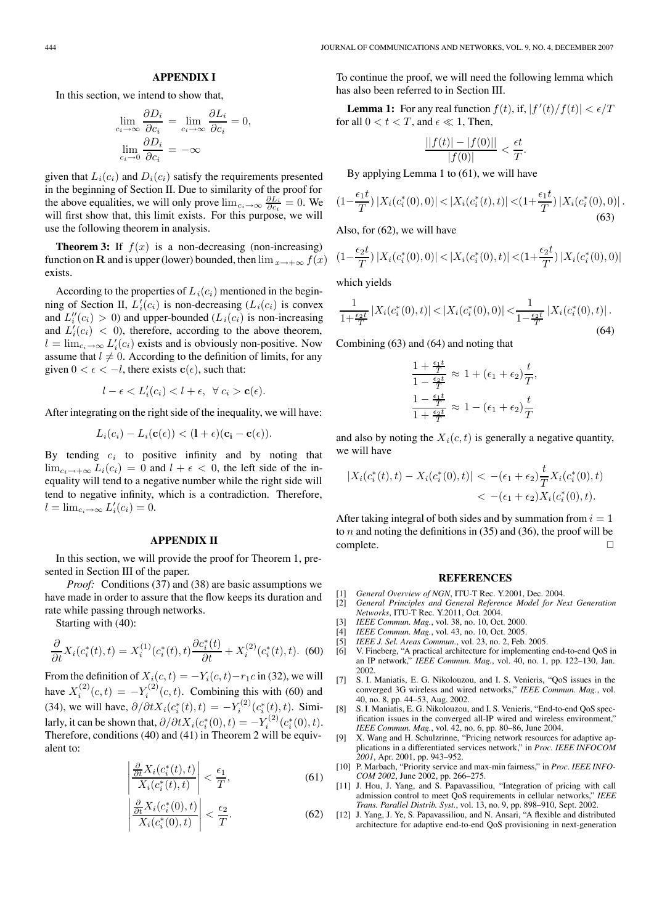### **APPENDIX I**

In this section, we intend to show that,

$$
\lim_{c_i \to \infty} \frac{\partial D_i}{\partial c_i} = \lim_{c_i \to \infty} \frac{\partial L_i}{\partial c_i} = 0,
$$
  

$$
\lim_{c_i \to 0} \frac{\partial D_i}{\partial c_i} = -\infty
$$

given that  $L_i(c_i)$  and  $D_i(c_i)$  satisfy the requirements presented in the beginning of Section II. Due to similarity of the proof for the above equalities, we will only prove  $\lim_{c_i \to \infty} \frac{\partial L_i}{\partial c_i} = 0$ . We will first show that this limit exists. For this purpose, we will will first show that, this limit exists. For this purpose, we will use the following theorem in analysis.

**Theorem 3:** If  $f(x)$  is a non-decreasing (non-increasing) function on **R** and is upper (lower) bounded, then  $\lim_{x \to +\infty} f(x)$ exists.

According to the properties of  $L_i(c_i)$  mentioned in the beginning of Section II,  $L'_i(c_i)$  is non-decreasing  $(L_i(c_i))$  is convex<br>and  $L''(c_i) > 0$  and unner-bounded  $(L_i(c_i))$  is non-increasing and  $L''_i(c_i) > 0$ ) and upper-bounded  $(L_i(c_i))$  is non-increasing<br>and  $L'(c_i) < 0$ ) therefore, according to the above theorem and  $L_i^j(c_i) < 0$ , therefore, according to the above theorem,<br>  $l = \lim_{l \to \infty} L'(c_l)$  exists and is obviously non-positive. Now  $l = \lim_{c_i \to \infty} L'_i(c_i)$  exists and is obviously non-positive. Now<br>assume that  $l \neq 0$ . According to the definition of limits, for any assume that  $l \neq 0$ . According to the definition of limits, for any given  $0 < \epsilon < -l$ , there exists  $\mathbf{c}(\epsilon)$ , such that:

$$
l-\epsilon < L'_i(c_i) < l+\epsilon, \ \ \forall \ c_i > \mathbf{c}(\epsilon).
$$

After integrating on the right side of the inequality, we will have:

$$
L_i(c_i) - L_i(\mathbf{c}(\epsilon)) < (1+\epsilon)(\mathbf{c_i} - \mathbf{c}(\epsilon)).
$$

By tending  $c_i$  to positive infinity and by noting that  $\lim_{c_i \to +\infty} L_i(c_i) = 0$  and  $l + \epsilon < 0$ , the left side of the inequality will tend to a negative number while the right side will tend to negative infinity, which is a contradiction. Therefore,  $l = \lim_{c_i \to \infty} L'_i(c_i) = 0.$ 

### **APPENDIX II**

In this section, we will provide the proof for Theorem 1, presented in Section III of the paper.

*Proof:* Conditions (37) and (38) are basic assumptions we have made in order to assure that the flow keeps its duration and rate while passing through networks.

Starting with (40):

$$
\frac{\partial}{\partial t}X_i(c_i^*(t),t) = X_i^{(1)}(c_i^*(t),t)\frac{\partial c_i^*(t)}{\partial t} + X_i^{(2)}(c_i^*(t),t). \tag{60}
$$

From the definition of  $X_i(c, t) = -Y_i(c, t) - r_1c$  in (32), we will have  $X_i^{(2)}(c, t) = -Y_i^{(2)}(c, t)$ . Combining this with (60) and (34), we will have,  $\partial/\partial t X_i(c_i^*(t), t) = -Y_i^{(2)}(c_i^*(t), t)$ . Similarly, it can be shown that,  $\partial/\partial t X_i(c_i^*(0), t) = -Y_i^{(2)}(c_i^*(0), t)$ .<br>Therefore, conditions (40) and (41) in Theorem 2 will be equiv-Therefore, conditions (40) and (41) in Theorem 2 will be equivalent to:

$$
\left| \frac{\frac{\partial}{\partial t} X_i(c_i^*(t), t)}{X_i(c_i^*(t), t)} \right| < \frac{\epsilon_1}{T},\tag{61}
$$

$$
\left| \frac{\frac{\partial}{\partial t} X_i(c_i^*(0), t)}{X_i(c_i^*(0), t)} \right| < \frac{\epsilon_2}{T}.\tag{62}
$$

To continue the proof, we will need the following lemma which has also been referred to in Section III.

**Lemma 1:** For any real function  $f(t)$ , if,  $|f'(t)/f(t)| < \epsilon/T$ <br>r all  $0 < t < T$  and  $\epsilon \ll 1$ . Then for all  $0 < t < T$ , and  $\epsilon \ll 1$ , Then,

$$
\frac{||f(t)| - |f(0)||}{|f(0)|} < \frac{\epsilon t}{T}.
$$
\nBy applying Lemma 1 to (61), we will have

$$
(1 - \frac{\epsilon_1 t}{T}) |X_i(c_i^*(0), 0)| < |X_i(c_i^*(t), t)| < (1 + \frac{\epsilon_1 t}{T}) |X_i(c_i^*(0), 0)|.
$$
\n(63)

Also, for (62), we will have

$$
(1-\frac{\epsilon_2 t}{T})\left|X_i(c_i^*(0),0)\right| < \left|X_i(c_i^*(0),t)\right| < (1+\frac{\epsilon_2 t}{T})\left|X_i(c_i^*(0),0)\right|
$$

which yields

$$
\frac{1}{1+\frac{\epsilon_2 t}{T}} |X_i(c_i^*(0), t)| < |X_i(c_i^*(0), 0)| < \frac{1}{1-\frac{\epsilon_2 t}{T}} |X_i(c_i^*(0), t)|.
$$
\n(64)

Combining (63) and (64) and noting that

$$
\frac{1 + \frac{\epsilon_1 t}{T}}{1 - \frac{\epsilon_2 t}{T}} \approx 1 + (\epsilon_1 + \epsilon_2) \frac{t}{T},
$$
  

$$
\frac{1 - \frac{\epsilon_1 t}{T}}{1 + \frac{\epsilon_2 t}{T}} \approx 1 - (\epsilon_1 + \epsilon_2) \frac{t}{T}
$$

and also by noting the  $X_i(c, t)$  is generally a negative quantity, we will have

$$
|X_i(c_i^*(t), t) - X_i(c_i^*(0), t)| < -(\epsilon_1 + \epsilon_2) \frac{t}{T} X_i(c_i^*(0), t) < -(\epsilon_1 + \epsilon_2) X_i(c_i^*(0), t).
$$

After taking integral of both sides and by summation from  $i = 1$ to  $n$  and noting the definitions in (35) and (36), the proof will be complete.

#### **REFERENCES**

- [1] *General Overview of NGN*, ITU-T Rec. Y.2001, Dec. 2004.
- [2] *General Principles and General Reference Model for Next Generation Networks*, ITU-T Rec. Y.2011, Oct. 2004.
- [3] *IEEE Commun. Mag.*, vol. 38, no. 10, Oct. 2000.
- [4] *IEEE Commun. Mag.*, vol. 43, no. 10, Oct. 2005.
- [5] *IEEE J. Sel. Areas Commun.*, vol. 23, no. 2, Feb. 2005.
- [6] V. Fineberg, "A practical architecture for implementing end-to-end QoS in an IP network," *IEEE Commun. Mag.*, vol. 40, no. 1, pp. 122–130, Jan. 2002.
- [7] S. I. Maniatis, E. G. Nikolouzou, and I. S. Venieris, "QoS issues in the converged 3G wireless and wired networks," *IEEE Commun. Mag.*, vol. 40, no. 8, pp. 44–53, Aug. 2002.
- [8] S. I. Maniatis, E. G. Nikolouzou, and I. S. Venieris, "End-to-end OoS specification issues in the converged all-IP wired and wireless environment," *IEEE Commun. Mag.*, vol. 42, no. 6, pp. 80–86, June 2004.
- [9] X. Wang and H. Schulzrinne, "Pricing network resources for adaptive applications in a differentiated services network," in *Proc. IEEE INFOCOM 2001*, Apr. 2001, pp. 943–952.
- [10] P. Marbach, "Priority service and max-min fairness," in *Proc. IEEE INFO-COM 2002*, June 2002, pp. 266–275.
- [11] J. Hou, J. Yang, and S. Papavassiliou, "Integration of pricing with call admission control to meet QoS requirements in cellular networks," *IEEE Trans. Parallel Distrib. Syst.*, vol. 13, no. 9, pp. 898–910, Sept. 2002.
- [12] J. Yang, J. Ye, S. Papavassiliou, and N. Ansari, "A flexible and distributed architecture for adaptive end-to-end QoS provisioning in next-generation